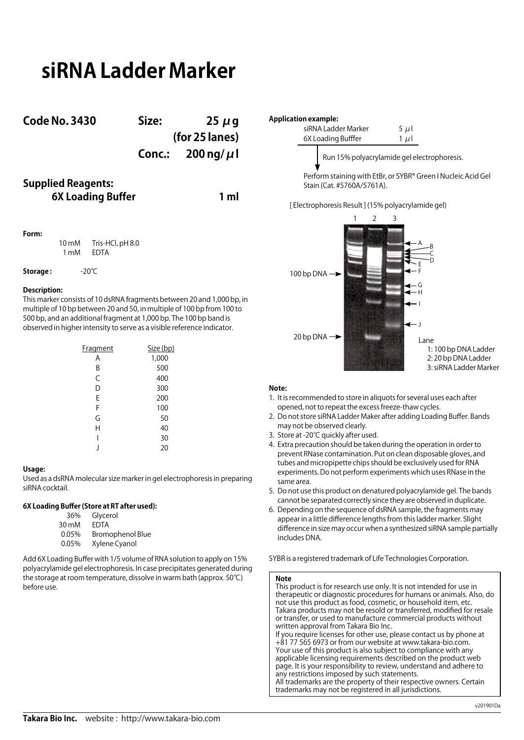# **siRNA Ladder Marker**

| <b>Code No. 3430</b>      | Size:          | $25 \mu g$                  |  |
|---------------------------|----------------|-----------------------------|--|
|                           | (for 25 lanes) |                             |  |
|                           |                | Conc.: $200 \text{ ng}/\mu$ |  |
| <b>Supplied Reagents:</b> |                |                             |  |

**6X Loading Buffer 1 ml**

## **Form:**

10 mM Tris-HCl, pH 8.0<br>1 mM EDTA  $1 \text{ mM}$ 

### **Storage :** -20℃

### **Description:**

This marker consists of 10 dsRNA fragments between 20 and 1,000 bp, in multiple of 10 bp between 20 and 50, in multiple of 100 bp from 100 to 500 bp, and an additional fragment at 1,000 bp. The 100 bp band is observed in higher intensity to serve as a visible reference indicator.

| Fragment | Size (bp) |
|----------|-----------|
| Α        | 1,000     |
| В        | 500       |
| C        | 400       |
| D        | 300       |
| E        | 200       |
| F        | 100       |
| G        | 50        |
| Н        | 40        |
| I        | 30        |
|          | 20        |

### **Usage:**

Used as a dsRNA molecular size marker in gel electrophoresis in preparing siRNA cocktail.

# **6X Loading Buffer (Store at RT after used):**

| Glycerol                |
|-------------------------|
| FDTA                    |
| <b>Bromophenol Blue</b> |
| Xylene Cyanol           |
|                         |

Add 6X Loading Buffer with 1/5 volume of RNA solution to apply on 15% polyacrylamide gel electrophoresis. In case precipitates generated during the storage at room temperature, dissolve in warm bath (approx. 50℃) before use.



Perform staining with EtBr, or SYBR® Green I Nucleic Acid Gel Stain (Cat. #5760A/5761A).

[ Electrophoresis Result ] (15% polyacrylamide gel)



# **Note:**

- 1. It is recommended to store in aliquots for several uses each after opened, not to repeat the excess freeze-thaw cycles.
- 2. Do not store siRNA Ladder Maker after adding Loading Buffer. Bands may not be observed clearly.
- 3. Store at -20℃ quickly after used.
- 4. Extra precaution should be taken during the operation in order to prevent RNase contamination. Put on clean disposable gloves, and tubes and micropipette chips should be exclusively used for RNA experiments. Do not perform experiments which uses RNase in the same area.
- 5. Do not use this product on denatured polyacrylamide gel. The bands cannot be separated correctly since they are observed in duplicate.
- 6. Depending on the sequence of dsRNA sample, the fragments may appear in a little difference lengths from this ladder marker. Slight difference in size may occur when a synthesized siRNA sample partially includes DNA.

SYBR is a registered trademark of Life Technologies Corporation.

#### **Note**

This product is for research use only. It is not intended for use in therapeutic or diagnostic procedures for humans or animals. Also, do not use this product as food, cosmetic, or household item, etc. Takara products may not be resold or transferred, modified for resale or transfer, or used to manufacture commercial products without written approval from Takara Bio Inc. If you require licenses for other use, please contact us by phone at

+81 77 565 6973 or from our website at www.takara-bio.com. Your use of this product is also subject to compliance with any applicable licensing requirements described on the product web page. It is your responsibility to review, understand and adhere to any restrictions imposed by such statements. All trademarks are the property of their respective owners. Certain trademarks may not be registered in all jurisdictions.